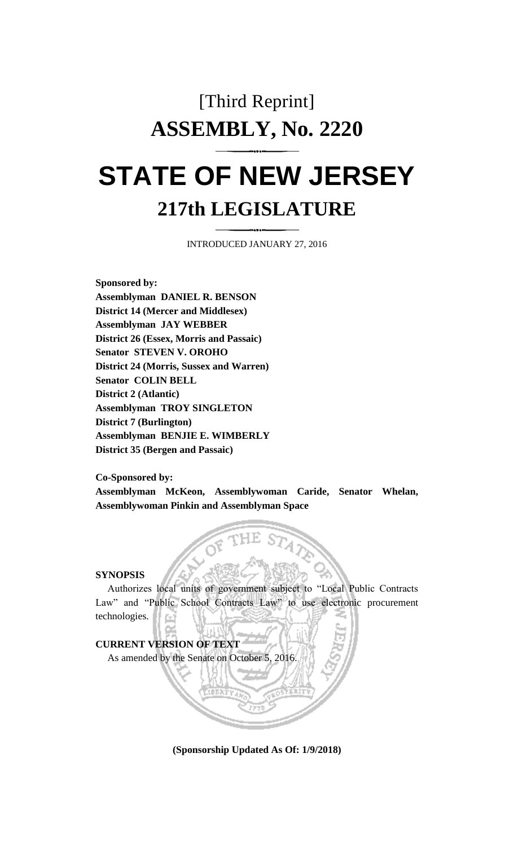# [Third Reprint] **ASSEMBLY, No. 2220**

# **STATE OF NEW JERSEY 217th LEGISLATURE**

INTRODUCED JANUARY 27, 2016

**Sponsored by: Assemblyman DANIEL R. BENSON District 14 (Mercer and Middlesex) Assemblyman JAY WEBBER District 26 (Essex, Morris and Passaic) Senator STEVEN V. OROHO District 24 (Morris, Sussex and Warren) Senator COLIN BELL District 2 (Atlantic) Assemblyman TROY SINGLETON District 7 (Burlington) Assemblyman BENJIE E. WIMBERLY District 35 (Bergen and Passaic)**

**Co-Sponsored by:**

**Assemblyman McKeon, Assemblywoman Caride, Senator Whelan, Assemblywoman Pinkin and Assemblyman Space**

#### **SYNOPSIS**

Authorizes local units of government subject to "Local Public Contracts Law" and "Public School Contracts Law" to use electronic procurement technologies.

**CURRENT VERSION OF TEXT** As amended by the Senate on October 5, 2016.

**(Sponsorship Updated As Of: 1/9/2018)**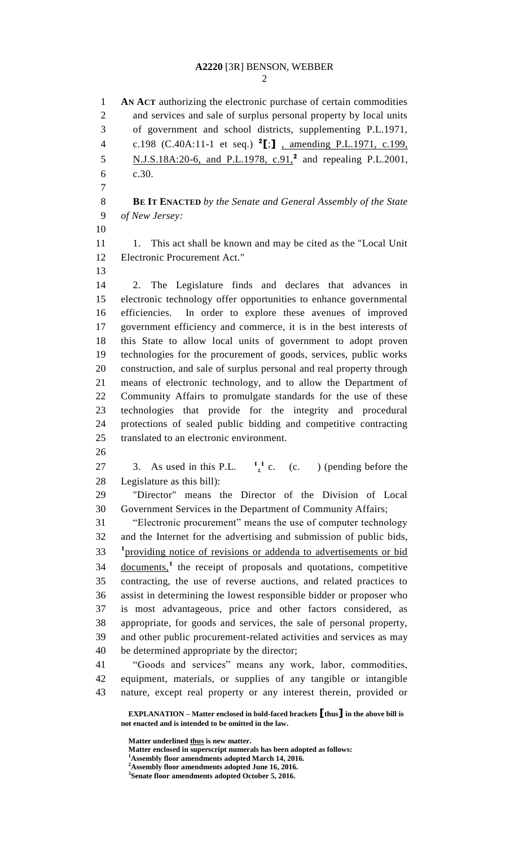**AN ACT** authorizing the electronic purchase of certain commodities and services and sale of surplus personal property by local units of government and school districts, supplementing P.L.1971, c.198 (C.40A:11-1 et seq.) **<sup>2</sup> [**;**]** , amending P.L.1971, c.199, **N.J.S.18A:20-6, and P.L.1978, c.91,<sup>2</sup> and repealing P.L.2001,**  c.30. **BE IT ENACTED** *by the Senate and General Assembly of the State of New Jersey:* 11 1. This act shall be known and may be cited as the "Local Unit" Electronic Procurement Act." 2. The Legislature finds and declares that advances in electronic technology offer opportunities to enhance governmental efficiencies. In order to explore these avenues of improved government efficiency and commerce, it is in the best interests of this State to allow local units of government to adopt proven technologies for the procurement of goods, services, public works construction, and sale of surplus personal and real property through means of electronic technology, and to allow the Department of Community Affairs to promulgate standards for the use of these technologies that provide for the integrity and procedural protections of sealed public bidding and competitive contracting translated to an electronic environment. 27 3. As used in this P.L.  $\frac{1}{2}$  c. (c. ) (pending before the , **1** Legislature as this bill): "Director" means the Director of the Division of Local Government Services in the Department of Community Affairs; "Electronic procurement" means the use of computer technology and the Internet for the advertising and submission of public bids, <sup>1</sup> providing notice of revisions or addenda to advertisements or bid 34 documents,<sup>1</sup> the receipt of proposals and quotations, competitive contracting, the use of reverse auctions, and related practices to assist in determining the lowest responsible bidder or proposer who is most advantageous, price and other factors considered, as appropriate, for goods and services, the sale of personal property, and other public procurement-related activities and services as may be determined appropriate by the director; "Goods and services" means any work, labor, commodities, equipment, materials, or supplies of any tangible or intangible nature, except real property or any interest therein, provided or

**EXPLANATION – Matter enclosed in bold-faced brackets [thus] in the above bill is not enacted and is intended to be omitted in the law.**

**Matter underlined thus is new matter.**

- **Matter enclosed in superscript numerals has been adopted as follows:**
- **Assembly floor amendments adopted March 14, 2016.**
- **Assembly floor amendments adopted June 16, 2016.**

**Senate floor amendments adopted October 5, 2016.**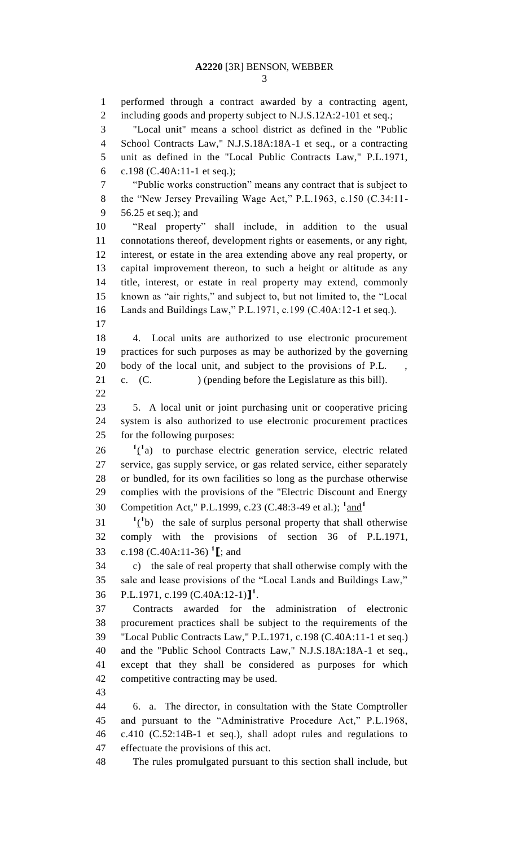performed through a contract awarded by a contracting agent, 2 including goods and property subject to N.J.S.12A:2-101 et seq.; "Local unit" means a school district as defined in the "Public School Contracts Law," N.J.S.18A:18A-1 et seq., or a contracting unit as defined in the "Local Public Contracts Law," P.L.1971, c.198 (C.40A:11-1 et seq.); "Public works construction" means any contract that is subject to the "New Jersey Prevailing Wage Act," P.L.1963, c.150 (C.34:11- 56.25 et seq.); and "Real property" shall include, in addition to the usual connotations thereof, development rights or easements, or any right, interest, or estate in the area extending above any real property, or capital improvement thereon, to such a height or altitude as any title, interest, or estate in real property may extend, commonly known as "air rights," and subject to, but not limited to, the "Local Lands and Buildings Law," P.L.1971, c.199 (C.40A:12-1 et seq.). 4. Local units are authorized to use electronic procurement practices for such purposes as may be authorized by the governing 20 body of the local unit, and subject to the provisions of P.L. 21 c. (C. ) (pending before the Legislature as this bill). 5. A local unit or joint purchasing unit or cooperative pricing system is also authorized to use electronic procurement practices for the following purposes:  $1\text{ (}1\text{a)}$  to purchase electric generation service, electric related service, gas supply service, or gas related service, either separately or bundled, for its own facilities so long as the purchase otherwise complies with the provisions of the "Electric Discount and Energy Competition Act," P.L.1999, c.23 (C.48:3-49 et al.); <sup>1</sup>and<sup>1</sup>  $1 \qquad \qquad$ <sup>1</sup>(<sup>1</sup>b) the sale of surplus personal property that shall otherwise comply with the provisions of section 36 of P.L.1971, c.198 (C.40A:11-36) **<sup>1</sup> [**; and c) the sale of real property that shall otherwise comply with the sale and lease provisions of the "Local Lands and Buildings Law," P.L.1971, c.199 (C.40A:12-1)**] 1** . Contracts awarded for the administration of electronic procurement practices shall be subject to the requirements of the "Local Public Contracts Law," P.L.1971, c.198 (C.40A:11-1 et seq.) and the "Public School Contracts Law," N.J.S.18A:18A-1 et seq., except that they shall be considered as purposes for which competitive contracting may be used. 6. a. The director, in consultation with the State Comptroller and pursuant to the "Administrative Procedure Act," P.L.1968, c.410 (C.52:14B-1 et seq.), shall adopt rules and regulations to effectuate the provisions of this act. The rules promulgated pursuant to this section shall include, but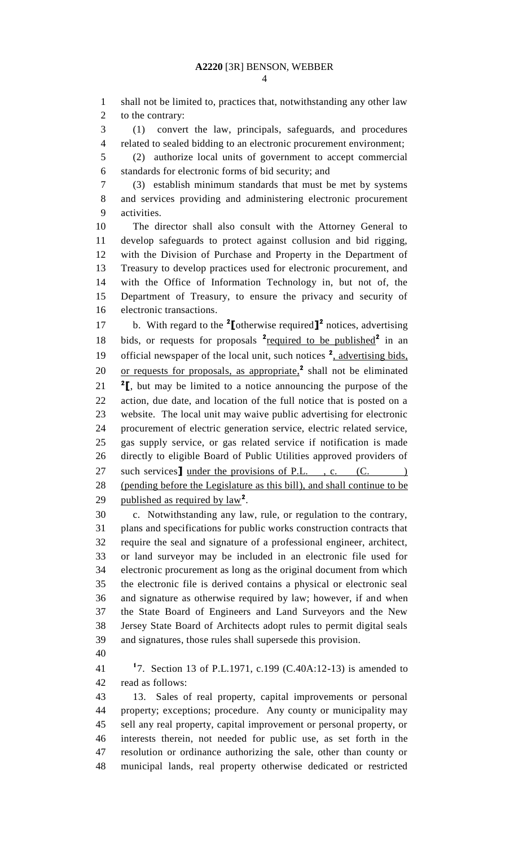shall not be limited to, practices that, notwithstanding any other law to the contrary:

 (1) convert the law, principals, safeguards, and procedures related to sealed bidding to an electronic procurement environment;

 (2) authorize local units of government to accept commercial standards for electronic forms of bid security; and

 (3) establish minimum standards that must be met by systems and services providing and administering electronic procurement activities.

 The director shall also consult with the Attorney General to develop safeguards to protect against collusion and bid rigging, with the Division of Purchase and Property in the Department of Treasury to develop practices used for electronic procurement, and with the Office of Information Technology in, but not of, the Department of Treasury, to ensure the privacy and security of electronic transactions.

17 b. With regard to the <sup>2</sup>[otherwise required]<sup>2</sup> notices, advertising 18 bids, or requests for proposals <sup>2</sup> required to be published<sup>2</sup> in an 19 official newspaper of the local unit, such notices <sup>2</sup>, advertising bids, 20 or requests for proposals, as appropriate,<sup>2</sup> shall not be eliminated  $\text{ }^{2}$ **[**, but may be limited to a notice announcing the purpose of the action, due date, and location of the full notice that is posted on a website. The local unit may waive public advertising for electronic procurement of electric generation service, electric related service, gas supply service, or gas related service if notification is made directly to eligible Board of Public Utilities approved providers of 27 such services <u>under the provisions of P.L.</u>, c. (C. ) (pending before the Legislature as this bill), and shall continue to be **published as required by**  $law^2$ **.** 

 c. Notwithstanding any law, rule, or regulation to the contrary, plans and specifications for public works construction contracts that require the seal and signature of a professional engineer, architect, or land surveyor may be included in an electronic file used for electronic procurement as long as the original document from which the electronic file is derived contains a physical or electronic seal and signature as otherwise required by law; however, if and when the State Board of Engineers and Land Surveyors and the New Jersey State Board of Architects adopt rules to permit digital seals and signatures, those rules shall supersede this provision.

**1** 7. Section 13 of P.L.1971, c.199 (C.40A:12-13) is amended to read as follows:

 13. Sales of real property, capital improvements or personal property; exceptions; procedure. Any county or municipality may sell any real property, capital improvement or personal property, or interests therein, not needed for public use, as set forth in the resolution or ordinance authorizing the sale, other than county or municipal lands, real property otherwise dedicated or restricted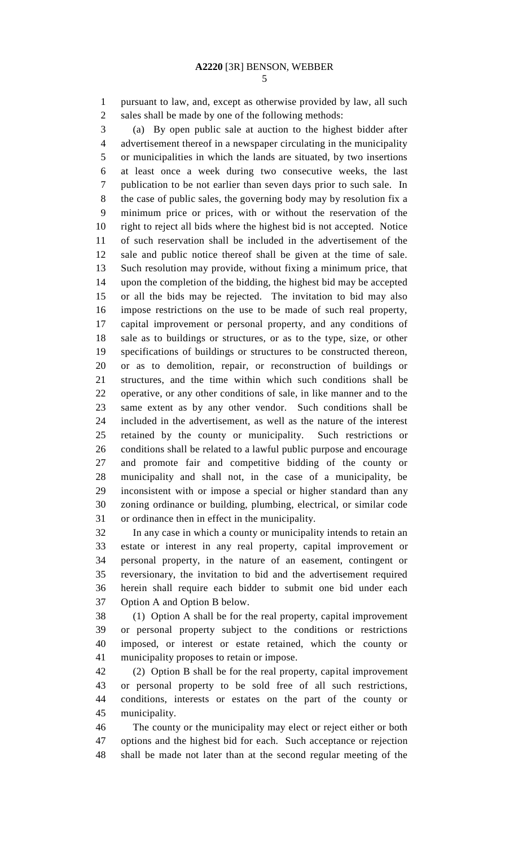pursuant to law, and, except as otherwise provided by law, all such sales shall be made by one of the following methods:

 (a) By open public sale at auction to the highest bidder after advertisement thereof in a newspaper circulating in the municipality or municipalities in which the lands are situated, by two insertions at least once a week during two consecutive weeks, the last publication to be not earlier than seven days prior to such sale. In the case of public sales, the governing body may by resolution fix a minimum price or prices, with or without the reservation of the right to reject all bids where the highest bid is not accepted. Notice of such reservation shall be included in the advertisement of the sale and public notice thereof shall be given at the time of sale. Such resolution may provide, without fixing a minimum price, that upon the completion of the bidding, the highest bid may be accepted or all the bids may be rejected. The invitation to bid may also impose restrictions on the use to be made of such real property, capital improvement or personal property, and any conditions of sale as to buildings or structures, or as to the type, size, or other specifications of buildings or structures to be constructed thereon, or as to demolition, repair, or reconstruction of buildings or structures, and the time within which such conditions shall be operative, or any other conditions of sale, in like manner and to the same extent as by any other vendor. Such conditions shall be included in the advertisement, as well as the nature of the interest retained by the county or municipality. Such restrictions or conditions shall be related to a lawful public purpose and encourage and promote fair and competitive bidding of the county or municipality and shall not, in the case of a municipality, be inconsistent with or impose a special or higher standard than any zoning ordinance or building, plumbing, electrical, or similar code or ordinance then in effect in the municipality.

 In any case in which a county or municipality intends to retain an estate or interest in any real property, capital improvement or personal property, in the nature of an easement, contingent or reversionary, the invitation to bid and the advertisement required herein shall require each bidder to submit one bid under each Option A and Option B below.

 (1) Option A shall be for the real property, capital improvement or personal property subject to the conditions or restrictions imposed, or interest or estate retained, which the county or municipality proposes to retain or impose.

 (2) Option B shall be for the real property, capital improvement or personal property to be sold free of all such restrictions, conditions, interests or estates on the part of the county or municipality.

 The county or the municipality may elect or reject either or both options and the highest bid for each. Such acceptance or rejection shall be made not later than at the second regular meeting of the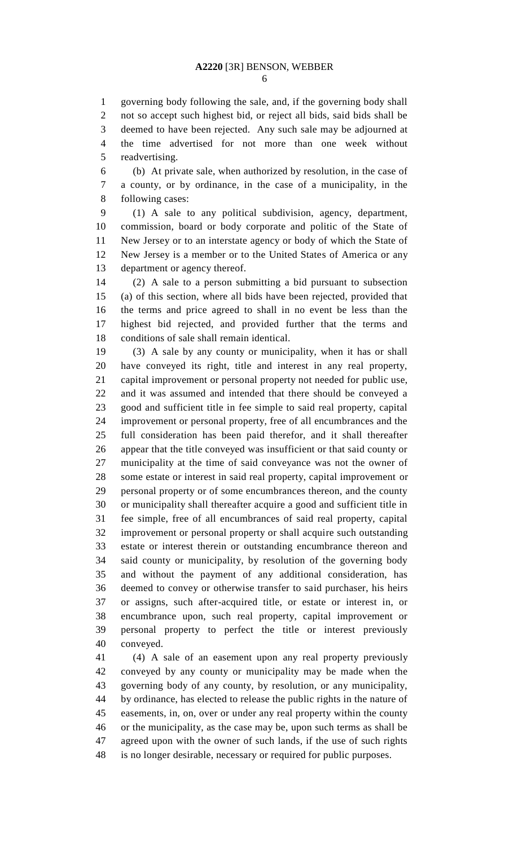governing body following the sale, and, if the governing body shall not so accept such highest bid, or reject all bids, said bids shall be deemed to have been rejected. Any such sale may be adjourned at the time advertised for not more than one week without readvertising.

 (b) At private sale, when authorized by resolution, in the case of a county, or by ordinance, in the case of a municipality, in the following cases:

 (1) A sale to any political subdivision, agency, department, commission, board or body corporate and politic of the State of New Jersey or to an interstate agency or body of which the State of New Jersey is a member or to the United States of America or any department or agency thereof.

 (2) A sale to a person submitting a bid pursuant to subsection (a) of this section, where all bids have been rejected, provided that the terms and price agreed to shall in no event be less than the highest bid rejected, and provided further that the terms and conditions of sale shall remain identical.

 (3) A sale by any county or municipality, when it has or shall have conveyed its right, title and interest in any real property, capital improvement or personal property not needed for public use, and it was assumed and intended that there should be conveyed a good and sufficient title in fee simple to said real property, capital improvement or personal property, free of all encumbrances and the full consideration has been paid therefor, and it shall thereafter appear that the title conveyed was insufficient or that said county or municipality at the time of said conveyance was not the owner of some estate or interest in said real property, capital improvement or personal property or of some encumbrances thereon, and the county or municipality shall thereafter acquire a good and sufficient title in fee simple, free of all encumbrances of said real property, capital improvement or personal property or shall acquire such outstanding estate or interest therein or outstanding encumbrance thereon and said county or municipality, by resolution of the governing body and without the payment of any additional consideration, has deemed to convey or otherwise transfer to said purchaser, his heirs or assigns, such after-acquired title, or estate or interest in, or encumbrance upon, such real property, capital improvement or personal property to perfect the title or interest previously conveyed.

 (4) A sale of an easement upon any real property previously conveyed by any county or municipality may be made when the governing body of any county, by resolution, or any municipality, by ordinance, has elected to release the public rights in the nature of easements, in, on, over or under any real property within the county or the municipality, as the case may be, upon such terms as shall be agreed upon with the owner of such lands, if the use of such rights is no longer desirable, necessary or required for public purposes.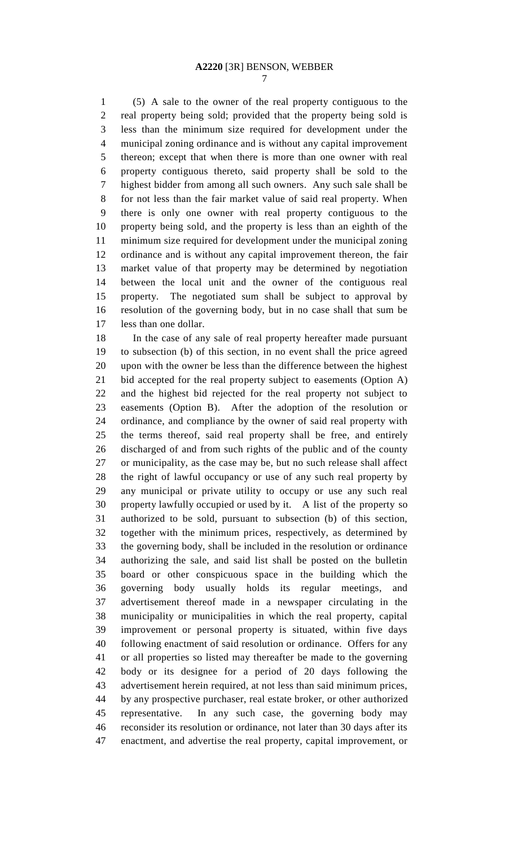(5) A sale to the owner of the real property contiguous to the real property being sold; provided that the property being sold is less than the minimum size required for development under the municipal zoning ordinance and is without any capital improvement thereon; except that when there is more than one owner with real property contiguous thereto, said property shall be sold to the highest bidder from among all such owners. Any such sale shall be for not less than the fair market value of said real property. When there is only one owner with real property contiguous to the property being sold, and the property is less than an eighth of the minimum size required for development under the municipal zoning ordinance and is without any capital improvement thereon, the fair market value of that property may be determined by negotiation between the local unit and the owner of the contiguous real property. The negotiated sum shall be subject to approval by resolution of the governing body, but in no case shall that sum be less than one dollar.

 In the case of any sale of real property hereafter made pursuant to subsection (b) of this section, in no event shall the price agreed upon with the owner be less than the difference between the highest bid accepted for the real property subject to easements (Option A) and the highest bid rejected for the real property not subject to easements (Option B). After the adoption of the resolution or ordinance, and compliance by the owner of said real property with the terms thereof, said real property shall be free, and entirely discharged of and from such rights of the public and of the county or municipality, as the case may be, but no such release shall affect the right of lawful occupancy or use of any such real property by any municipal or private utility to occupy or use any such real property lawfully occupied or used by it. A list of the property so authorized to be sold, pursuant to subsection (b) of this section, together with the minimum prices, respectively, as determined by the governing body, shall be included in the resolution or ordinance authorizing the sale, and said list shall be posted on the bulletin board or other conspicuous space in the building which the governing body usually holds its regular meetings, and advertisement thereof made in a newspaper circulating in the municipality or municipalities in which the real property, capital improvement or personal property is situated, within five days following enactment of said resolution or ordinance. Offers for any or all properties so listed may thereafter be made to the governing body or its designee for a period of 20 days following the advertisement herein required, at not less than said minimum prices, by any prospective purchaser, real estate broker, or other authorized representative. In any such case, the governing body may reconsider its resolution or ordinance, not later than 30 days after its enactment, and advertise the real property, capital improvement, or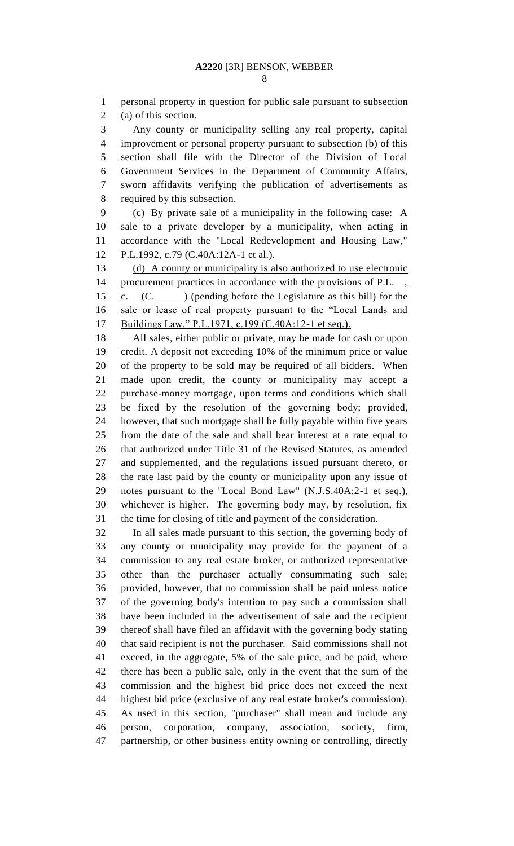personal property in question for public sale pursuant to subsection (a) of this section.

 Any county or municipality selling any real property, capital improvement or personal property pursuant to subsection (b) of this section shall file with the Director of the Division of Local Government Services in the Department of Community Affairs, sworn affidavits verifying the publication of advertisements as required by this subsection.

 (c) By private sale of a municipality in the following case: A sale to a private developer by a municipality, when acting in accordance with the "Local Redevelopment and Housing Law," P.L.1992, c.79 (C.40A:12A-1 et al.).

 (d) A county or municipality is also authorized to use electronic 14 procurement practices in accordance with the provisions of P.L.

15 c. (C. ) (pending before the Legislature as this bill) for the sale or lease of real property pursuant to the "Local Lands and Buildings Law," P.L.1971, c.199 (C.40A:12-1 et seq.).

 All sales, either public or private, may be made for cash or upon credit. A deposit not exceeding 10% of the minimum price or value of the property to be sold may be required of all bidders. When made upon credit, the county or municipality may accept a purchase-money mortgage, upon terms and conditions which shall be fixed by the resolution of the governing body; provided, however, that such mortgage shall be fully payable within five years from the date of the sale and shall bear interest at a rate equal to that authorized under Title 31 of the Revised Statutes, as amended and supplemented, and the regulations issued pursuant thereto, or the rate last paid by the county or municipality upon any issue of notes pursuant to the "Local Bond Law" (N.J.S.40A:2-1 et seq.), whichever is higher. The governing body may, by resolution, fix the time for closing of title and payment of the consideration.

 In all sales made pursuant to this section, the governing body of any county or municipality may provide for the payment of a commission to any real estate broker, or authorized representative other than the purchaser actually consummating such sale; provided, however, that no commission shall be paid unless notice of the governing body's intention to pay such a commission shall have been included in the advertisement of sale and the recipient thereof shall have filed an affidavit with the governing body stating that said recipient is not the purchaser. Said commissions shall not exceed, in the aggregate, 5% of the sale price, and be paid, where there has been a public sale, only in the event that the sum of the commission and the highest bid price does not exceed the next highest bid price (exclusive of any real estate broker's commission). As used in this section, "purchaser" shall mean and include any person, corporation, company, association, society, firm, partnership, or other business entity owning or controlling, directly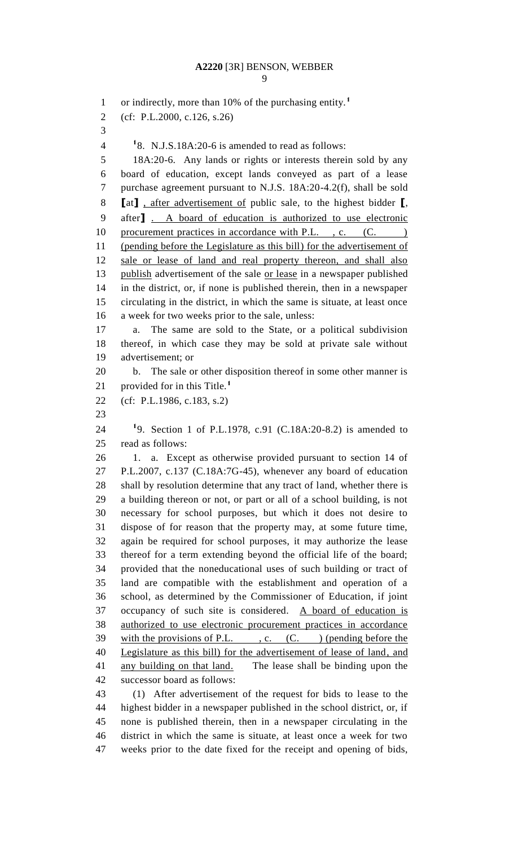or indirectly, more than 10% of the purchasing entity.**<sup>1</sup>** (cf: P.L.2000, c.126, s.26)  $1^{\circ}$  **1**8. N.J.S.18A:20-6 is amended to read as follows: 18A:20-6. Any lands or rights or interests therein sold by any board of education, except lands conveyed as part of a lease purchase agreement pursuant to N.J.S. 18A:20-4.2(f), shall be sold **[**at**]** , after advertisement of public sale, to the highest bidder **[**, after**]** . A board of education is authorized to use electronic 10 procurement practices in accordance with P.L., c. (C. ) (pending before the Legislature as this bill) for the advertisement of sale or lease of land and real property thereon, and shall also 13 publish advertisement of the sale or lease in a newspaper published in the district, or, if none is published therein, then in a newspaper circulating in the district, in which the same is situate, at least once a week for two weeks prior to the sale, unless: a. The same are sold to the State, or a political subdivision thereof, in which case they may be sold at private sale without advertisement; or b. The sale or other disposition thereof in some other manner is provided for in this Title.**<sup>1</sup>** (cf: P.L.1986, c.183, s.2) 9. Section 1 of P.L.1978, c.91 (C.18A:20-8.2) is amended to read as follows: 1. a. Except as otherwise provided pursuant to section 14 of P.L.2007, c.137 (C.18A:7G-45), whenever any board of education shall by resolution determine that any tract of land, whether there is a building thereon or not, or part or all of a school building, is not necessary for school purposes, but which it does not desire to dispose of for reason that the property may, at some future time, again be required for school purposes, it may authorize the lease thereof for a term extending beyond the official life of the board; provided that the noneducational uses of such building or tract of land are compatible with the establishment and operation of a school, as determined by the Commissioner of Education, if joint occupancy of such site is considered. A board of education is authorized to use electronic procurement practices in accordance 39 with the provisions of P.L., c.  $(C.$  ) (pending before the Legislature as this bill) for the advertisement of lease of land, and any building on that land. The lease shall be binding upon the successor board as follows: (1) After advertisement of the request for bids to lease to the highest bidder in a newspaper published in the school district, or, if none is published therein, then in a newspaper circulating in the

 district in which the same is situate, at least once a week for two weeks prior to the date fixed for the receipt and opening of bids,